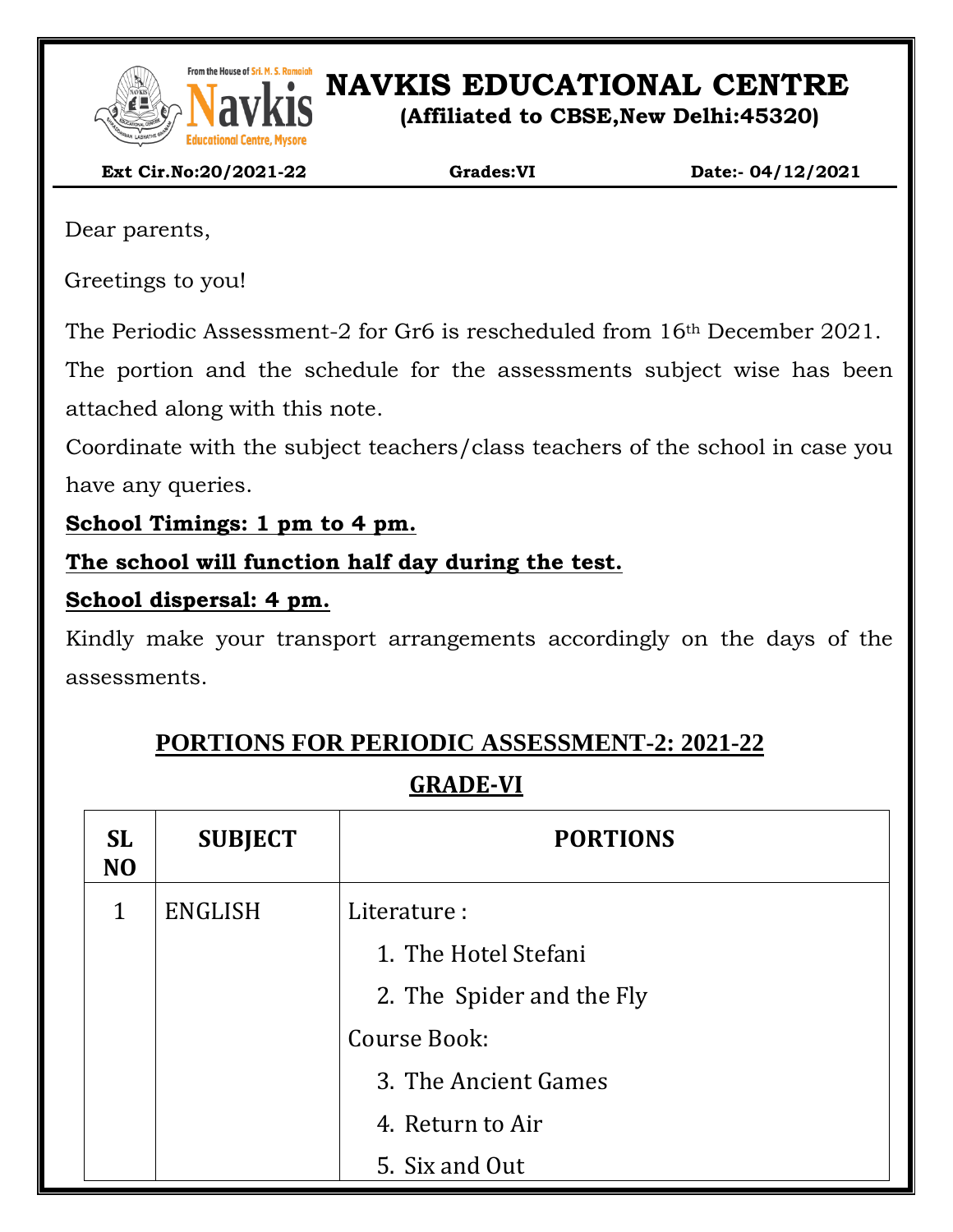

From the House of Sri. M. S. Ramaidah<br>**NAVEL SONG PRESENT IN S. Ramaidah**<br>**NAVEL SONG PRESENT IN SONG PRESENT IN SONG PRESENT IN SONG PRESENT IN SONG PRESENT IN SONG PRESENT IN SONG PRESENT** 

#### **(Affiliated to CBSE,New Delhi:45320)**

 **Ext Cir.No:20/2021-22 Grades:VI Date:- 04/12/2021**

Dear parents,

Greetings to you!

The Periodic Assessment-2 for Gr6 is rescheduled from 16th December 2021.

The portion and the schedule for the assessments subject wise has been attached along with this note.

Coordinate with the subject teachers/class teachers of the school in case you have any queries.

**School Timings: 1 pm to 4 pm.**

**The school will function half day during the test.**

### **School dispersal: 4 pm.**

Kindly make your transport arrangements accordingly on the days of the assessments.

## **PORTIONS FOR PERIODIC ASSESSMENT-2: 2021-22**

### **GRADE-VI**

| <b>SL</b><br>N <sub>O</sub> | <b>SUBJECT</b> | <b>PORTIONS</b>           |  |  |
|-----------------------------|----------------|---------------------------|--|--|
| 1                           | <b>ENGLISH</b> | Literature:               |  |  |
|                             |                | 1. The Hotel Stefani      |  |  |
|                             |                | 2. The Spider and the Fly |  |  |
|                             |                | Course Book:              |  |  |
|                             |                | 3. The Ancient Games      |  |  |
|                             |                | 4. Return to Air          |  |  |
|                             |                | 5. Six and Out            |  |  |